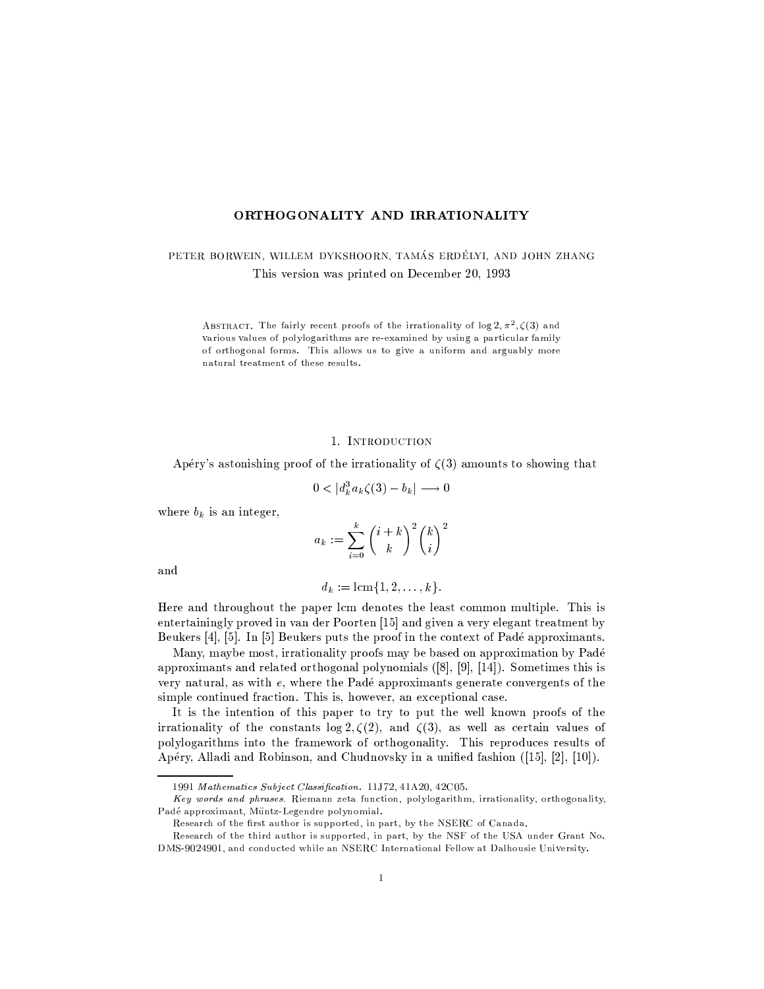### ORTHOGONALITY AND IRRATIONALITY

PETER BORWEIN, WILLEM DYKSHOORN, TAMÁS ERDÉLYI, AND JOHN ZHANG This version was printed on December 20, 1993

ABSTRACT. The fairly recent proofs of the irrationality of  $\log 2, \pi^2, \zeta(3)$  and various values of polylogarithms are re-examined by using a particular family of orthogonal forms. This allows us to give a uniform and arguably more natural treatment of these results.

### 1. INTRODUCTION

Apéry's astonishing proof of the irrationality of  $\zeta(3)$  amounts to showing that

$$
0 < |d_k^3 a_k \zeta(3) - b_k| \longrightarrow 0
$$

where  $b_k$  is an integer,

$$
a_k := \sum_{i=0}^k {i+k \choose k}^2 {k \choose i}^2
$$

and

$$
d_k := \text{lcm}\{1, 2, \ldots, k\}.
$$

Here and throughout the paper lcm denotes the least common multiple. This is entertainingly proved in van der Poorten [15] and given a very elegant treatment by Beukers [4], [5]. In [5] Beukers puts the proof in the context of Padé approximants.

Many, maybe most, irrationality proofs may be based on approximation by Padé approximants and related orthogonal polynomials  $([8], [9], [14])$ . Sometimes this is very natural, as with e, where the Padé approximants generate convergents of the simple continued fraction. This is, however, an exceptional case.

It is the intention of this paper to try to put the well known proofs of the irrationality of the constants  $\log 2, \zeta(2)$ , and  $\zeta(3)$ , as well as certain values of polylogarithms into the framework of orthogonality. This reproduces results of Apéry, Alladi and Robinson, and Chudnovsky in a unified fashion  $(15, 2, 10)$ .

<sup>1991</sup> Mathematics Subject Classification. 11J72, 41A20, 42C05.

Key words and phrases. Riemann zeta function, polylogarithm, irrationality, orthogonality, Padé approximant, Müntz-Legendre polynomial.

Research of the first author is supported, in part, by the NSERC of Canada.

Research of the third author is supported, in part, by the NSF of the USA under Grant No. DMS-9024901, and conducted while an NSERC International Fellow at Dalhousie University.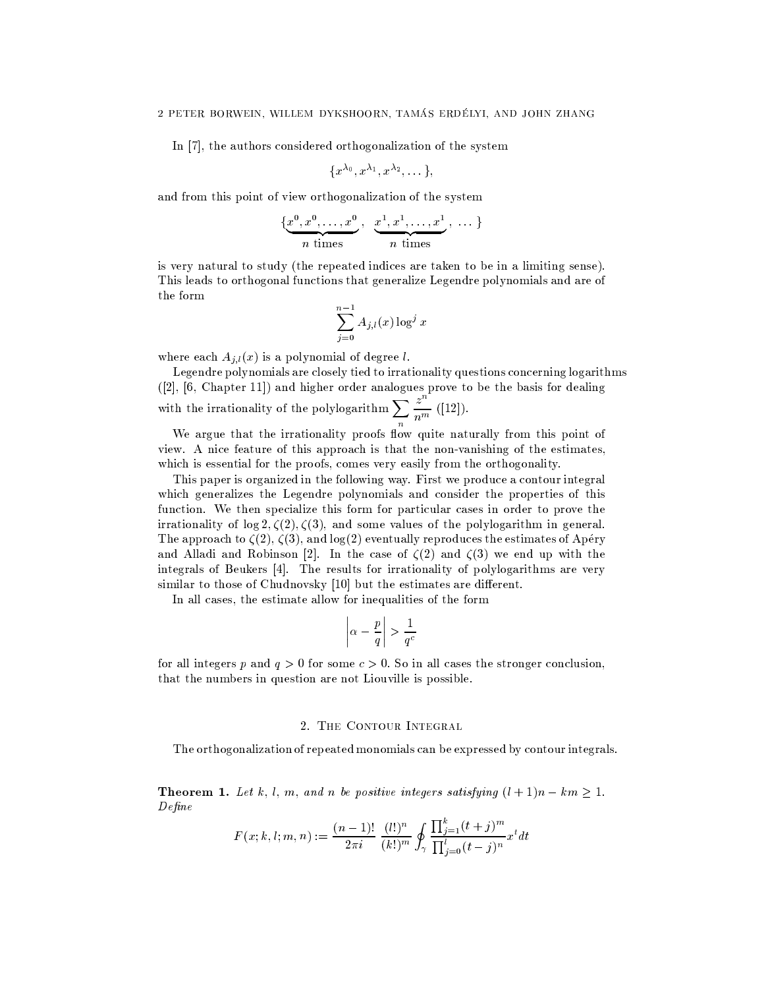In [7], the authors considered orthogonalization of the system

$$
\{x^{\lambda_0},x^{\lambda_1},x^{\lambda_2},\dots\},
$$

and from this point of view orthogonalization of the system

$$
\{\underbrace{x^0, x^0, \dots, x^0}_{n \text{ times}}, \underbrace{x^1, x^1, \dots, x^1}_{n \text{ times}}, \dots\}
$$

is very natural to study (the repeated indices are taken to be in a limiting sense). This leads to orthogonal functions that generalize Legendre polynomials and are of the form

$$
\sum_{j=0}^{n-1} A_{j,l}(x) \log^j x
$$

where each  $A_{i,l}(x)$  is a polynomial of degree l.

Legendre polynomials are closely tied to irrationality questions concerning logarithms ([2], [6, Chapter 11]) and higher order analogues prove to be the basis for dealing<br>with the irrationality of the polylogarithm  $\sum_{n=1}^{\infty} \frac{z^n}{n^m}$  ([12]).

We argue that the irrationality proofs flow quite naturally from this point of view. A nice feature of this approach is that the non-vanishing of the estimates, which is essential for the proofs, comes very easily from the orthogonality.

This paper is organized in the following way. First we produce a contour integral which generalizes the Legendre polynomials and consider the properties of this function. We then specialize this form for particular cases in order to prove the irrationality of  $\log 2, \zeta(2), \zeta(3)$ , and some values of the polylogarithm in general. The approach to  $\zeta(2), \zeta(3),$  and  $\log(2)$  eventually reproduces the estimates of Apéry and Alladi and Robinson [2]. In the case of  $\zeta(2)$  and  $\zeta(3)$  we end up with the integrals of Beukers [4]. The results for irrationality of polylogarithms are very similar to those of Chudnovsky [10] but the estimates are different.

In all cases, the estimate allow for inequalities of the form

$$
\left|\alpha - \frac{p}{q}\right| > \frac{1}{q^c}
$$

for all integers p and  $q > 0$  for some  $c > 0$ . So in all cases the stronger conclusion, that the numbers in question are not Liouville is possible.

### 2. THE CONTOUR INTEGRAL

The orthogonalization of repeated monomials can be expressed by contour integrals.

**Theorem 1.** Let k, l, m, and n be positive integers satisfying  $(l+1)n - km \ge 1$ .  $Define$ 

$$
F(x; k, l; m, n) := \frac{(n-1)!}{2\pi i} \frac{(l!)^n}{(k!)^m} \oint_{\gamma} \frac{\prod_{j=1}^k (t+j)^m}{\prod_{j=0}^l (t-j)^n} x^t dt
$$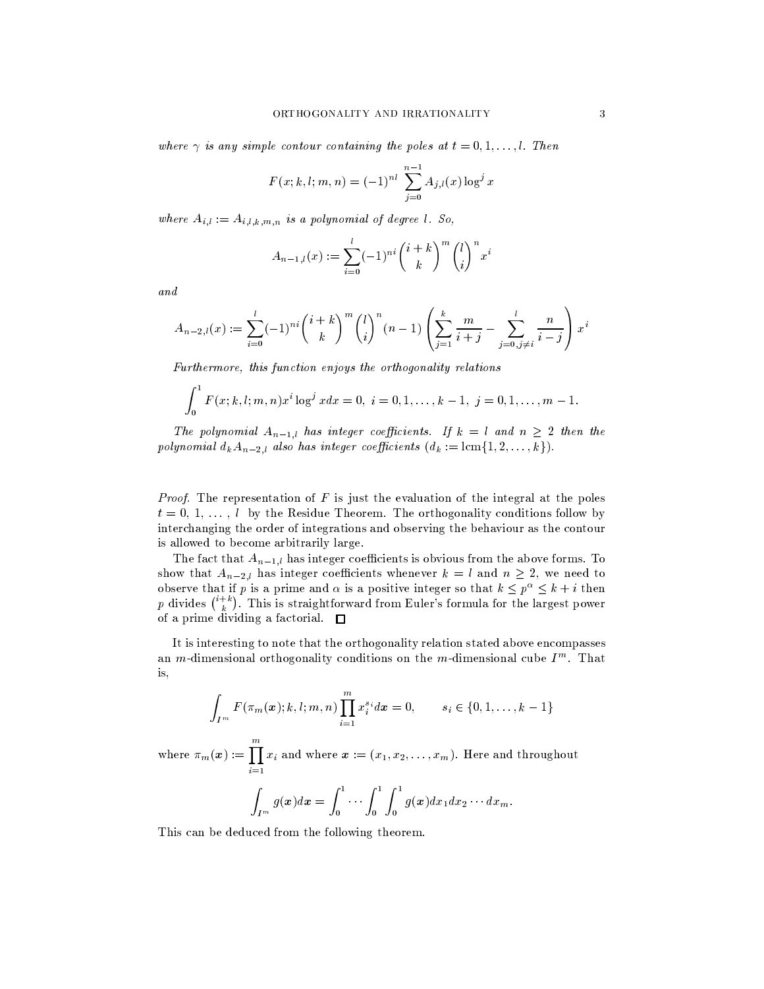where  $\gamma$  is any simple contour containing the poles at  $t = 0, 1, \ldots, l$ . Then

$$
F(x; k, l; m, n) = (-1)^{nl} \sum_{j=0}^{n-1} A_{j,l}(x) \log^{j} x
$$

where  $A_{i,l} := A_{i,l,k,m,n}$  is a polynomial of degree l. So,

$$
A_{n-1,l}(x) := \sum_{i=0}^{l} (-1)^{ni} {i+k \choose k}^{m} {l \choose i}^{n} x^{i}
$$

and

$$
A_{n-2,l}(x) := \sum_{i=0}^{l} (-1)^{ni} {i+k \choose k}^{m} {l \choose i}^{n} (n-1) \left( \sum_{j=1}^{k} \frac{m}{i+j} - \sum_{j=0, j \neq i}^{l} \frac{n}{i-j} \right) x^{i}
$$

Furthermore, this function enjoys the orthogonality relations

$$
\int_0^1 F(x;k,l;m,n)x^i \log^j x dx = 0, i = 0,1,\ldots,k-1, j = 0,1,\ldots,m-1.
$$

The polynomial  $A_{n-1,l}$  has integer coefficients. If  $k = l$  and  $n \geq 2$  then the polynomial  $d_k A_{n-2,l}$  also has integer coefficients  $(d_k := \text{lcm} \{1, 2, ..., k\}).$ 

*Proof.* The representation of  $F$  is just the evaluation of the integral at the poles  $t = 0, 1, \ldots, l$  by the Residue Theorem. The orthogonality conditions follow by interchanging the order of integrations and observing the behaviour as the contour is allowed to become arbitrarily large.

The fact that  $A_{n-1,l}$  has integer coefficients is obvious from the above forms. To show that  $A_{n-2,l}$  has integer coefficients whenever  $k = l$  and  $n \geq 2$ , we need to observe that if p is a prime and  $\alpha$  is a positive integer so that  $k \leq p^{\alpha} \leq k + i$  then p divides  $\binom{i+k}{k}$ . This is straightforward from Euler's formula for the largest power of a prime dividing a factorial.  $\Box$ 

It is interesting to note that the orthogonality relation stated above encompasses an *m*-dimensional orthogonality conditions on the *m*-dimensional cube  $I<sup>m</sup>$ . That is,

$$
\int_{I^m} F(\pi_m(x); k, l; m, n) \prod_{i=1}^m x_i^{s_i} dx = 0, \qquad s_i \in \{0, 1, \dots, k-1\}
$$

where  $\pi_m(x) := \prod_{i=1}^m x_i$  and where  $x := (x_1, x_2, \dots, x_m)$ . Here and throughout

$$
\int_{I^m} g(\boldsymbol{x}) d\boldsymbol{x} = \int_0^1 \cdots \int_0^1 \int_0^1 g(\boldsymbol{x}) dx_1 dx_2 \cdots dx_m
$$

This can be deduced from the following theorem.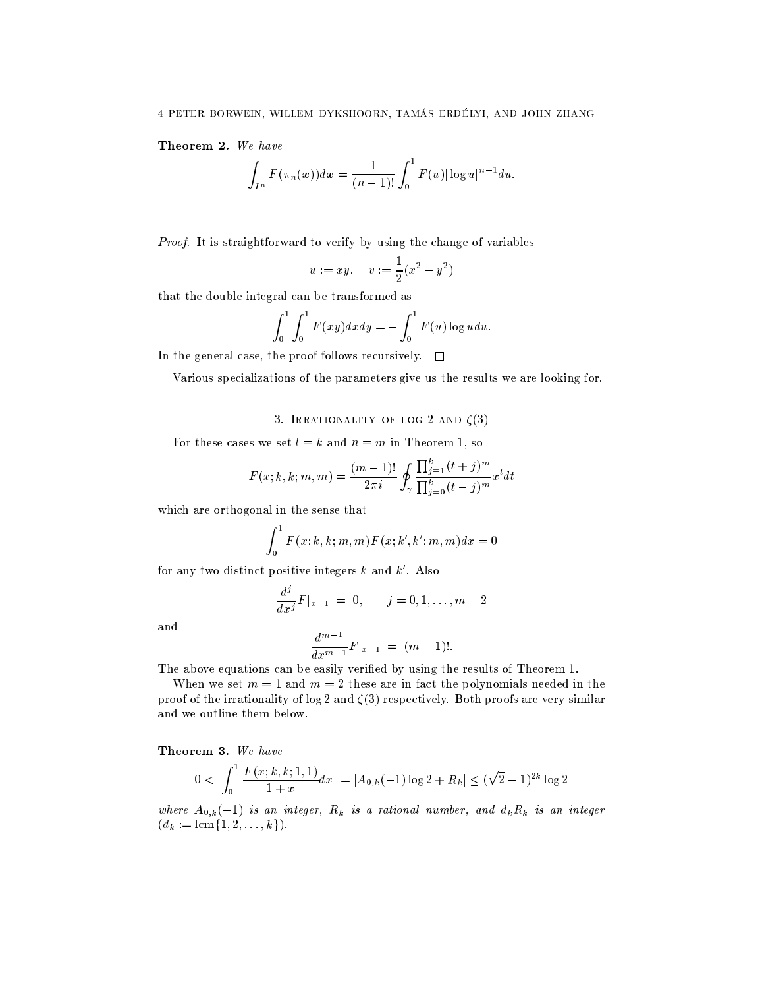Theorem 2. We have

$$
\int_{I^n} F(\pi_n(x))dx = \frac{1}{(n-1)!} \int_0^1 F(u) |\log u|^{n-1} du.
$$

Proof. It is straightforward to verify by using the change of variables

$$
u := xy
$$
,  $v := \frac{1}{2}(x^2 - y^2)$ 

that the double integral can be transformed as

$$
\int_0^1 \int_0^1 F(xy) dx dy = - \int_0^1 F(u) \log u du.
$$

In the general case, the proof follows recursively.  $\Box$ 

Various specializations of the parameters give us the results we are looking for.

## 3. IRRATIONALITY OF LOG 2 AND  $\zeta(3)$

For these cases we set  $l = k$  and  $n = m$  in Theorem 1, so

$$
F(x; k, k; m, m) = \frac{(m-1)!}{2\pi i} \oint_{\gamma} \frac{\prod_{j=1}^{k} (t+j)^m}{\prod_{j=0}^{k} (t-j)^m} x^t dt
$$

which are orthogonal in the sense that

$$
\int_0^1 F(x;k,k;m,m)F(x;k',k';m,m)dx = 0
$$

for any two distinct positive integers  $k$  and  $k'$ . Also

$$
\frac{d^j}{dx^j}F|_{x=1} = 0, \qquad j = 0, 1, \dots, m-2
$$

and

$$
\frac{d^{m-1}}{dx^{m-1}}F|_{x=1} = (m-1)!.
$$

The above equations can be easily verified by using the results of Theorem 1.

When we set  $m = 1$  and  $m = 2$  these are in fact the polynomials needed in the proof of the irrationality of log 2 and  $\zeta(3)$  respectively. Both proofs are very similar and we outline them below.

Theorem 3. We have

$$
0 < \left| \int_0^1 \frac{F(x;k,k;1,1)}{1+x} dx \right| = |A_{0,k}(-1) \log 2 + R_k| \leq (\sqrt{2} - 1)^{2k} \log 2
$$

where  $A_{0,k}(-1)$  is an integer,  $R_k$  is a rational number, and  $d_k R_k$  is an integer  $(d_k := \text{lcm}\{1, 2, \ldots, k\}).$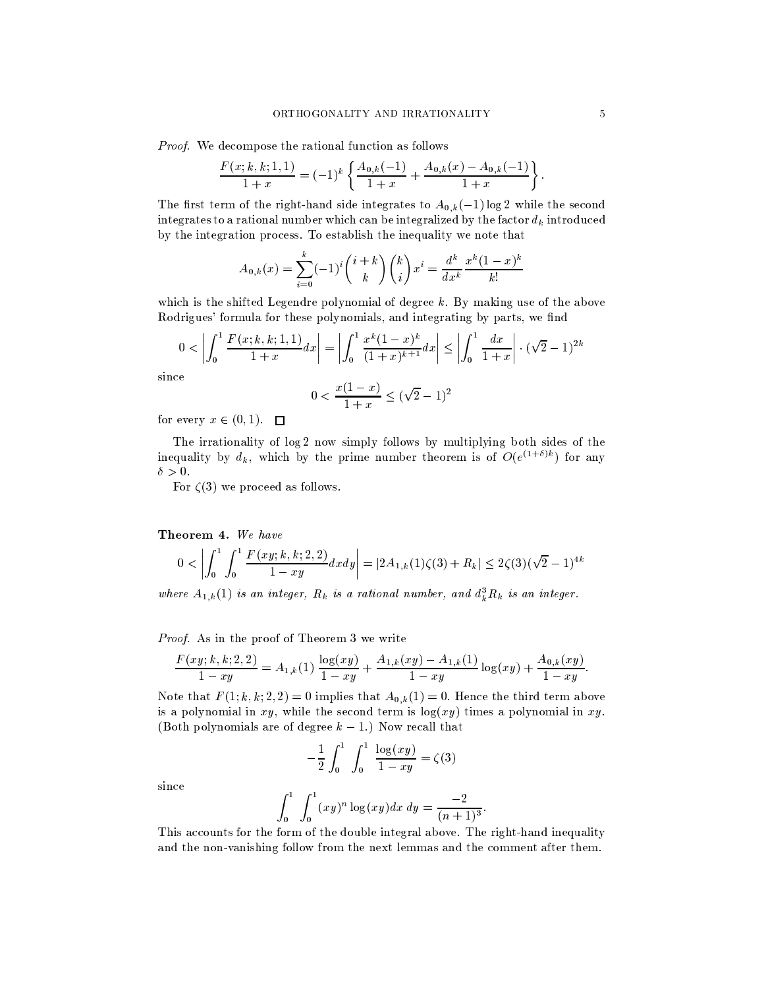*Proof.* We decompose the rational function as follows

$$
\frac{F(x;k,k;1,1)}{1+x} = (-1)^k \left\{ \frac{A_{0,k}(-1)}{1+x} + \frac{A_{0,k}(x) - A_{0,k}(-1)}{1+x} \right\}
$$

The first term of the right-hand side integrates to  $A_{0,k}(-1) \log 2$  while the second integrates to a rational number which can be integralized by the factor  $d_k$  introduced by the integration process. To establish the inequality we note that

$$
A_{0,k}(x) = \sum_{i=0}^{k} (-1)^i {i+k \choose k} {k \choose i} x^i = \frac{d^k}{dx^k} \frac{x^k (1-x)^k}{k!}
$$

which is the shifted Legendre polynomial of degree  $k$ . By making use of the above Rodrigues' formula for these polynomials, and integrating by parts, we find

$$
0 < \left| \int_0^1 \frac{F(x;k,k;1,1)}{1+x} dx \right| = \left| \int_0^1 \frac{x^k (1-x)^k}{(1+x)^{k+1}} dx \right| \le \left| \int_0^1 \frac{dx}{1+x} \right| \cdot (\sqrt{2} - 1)^{2k}
$$

since

$$
0 < \frac{x(1-x)}{1+x} \le (\sqrt{2} - 1)^2
$$

for every  $x \in (0,1)$ .  $\square$ 

The irrationality of log 2 now simply follows by multiplying both sides of the inequality by  $d_k$ , which by the prime number theorem is of  $O(e^{(1+\delta)k})$  for any  $\delta > 0$ .

For  $\zeta(3)$  we proceed as follows.

Theorem 4. We have

$$
0 < \left| \int_0^1 \int_0^1 \frac{F(xy;k,k;2,2)}{1-xy} dx dy \right| = |2A_{1,k}(1)\zeta(3) + R_k| \leq 2\zeta(3)(\sqrt{2}-1)^{4k}
$$

where  $A_{1,k}(1)$  is an integer,  $R_k$  is a rational number, and  $d_k^3 R_k$  is an integer.

Proof. As in the proof of Theorem 3 we write

$$
\frac{F(xy;k,k;2,2)}{1-xy} = A_{1,k}(1) \frac{\log(xy)}{1-xy} + \frac{A_{1,k}(xy)-A_{1,k}(1)}{1-xy}\log(xy) + \frac{A_{0,k}(xy)}{1-xy}.
$$

Note that  $F(1; k, k, 2, 2) = 0$  implies that  $A_{0,k}(1) = 0$ . Hence the third term above is a polynomial in xy, while the second term is  $\log(xy)$  times a polynomial in xy. (Both polynomials are of degree  $k-1$ .) Now recall that

$$
-\frac{1}{2} \int_0^1 \int_0^1 \frac{\log(xy)}{1 - xy} = \zeta(3)
$$

since

$$
\int_0^1 \int_0^1 (xy)^n \log(xy) dx dy = \frac{-2}{(n+1)^3}.
$$

This accounts for the form of the double integral above. The right-hand inequality and the non-vanishing follow from the next lemmas and the comment after them.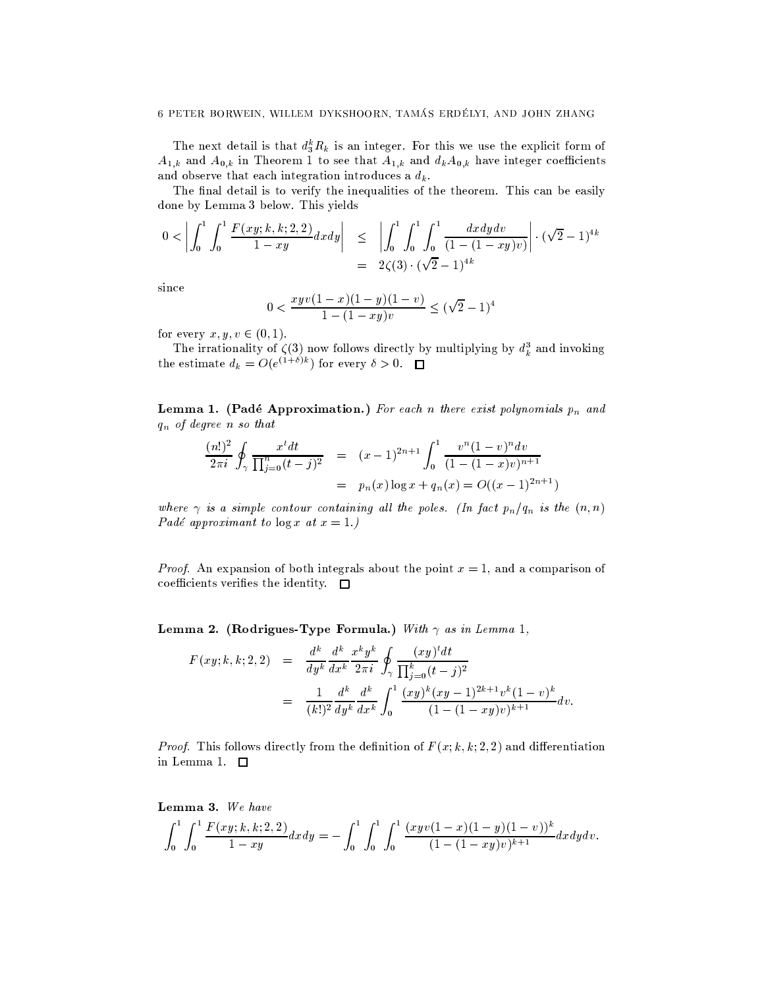The next detail is that  $d_3^k R_k$  is an integer. For this we use the explicit form of  $A_{1,k}$  and  $A_{0,k}$  in Theorem 1 to see that  $A_{1,k}$  and  $d_kA_{0,k}$  have integer coefficients and observe that each integration introduces a  $d_k$ .

The final detail is to verify the inequalities of the theorem. This can be easily done by Lemma 3 below. This yields

$$
0 < \left| \int_0^1 \int_0^1 \frac{F(xy; k, k; 2, 2)}{1 - xy} dx dy \right| \leq \left| \int_0^1 \int_0^1 \int_0^1 \frac{dx dy dv}{(1 - (1 - xy)v)} \right| \cdot (\sqrt{2} - 1)^{4k}
$$
\n
$$
= 2\zeta(3) \cdot (\sqrt{2} - 1)^{4k}
$$

 $since$ 

$$
0<\frac{xyv(1-x)(1-y)(1-v)}{1-(1-xy)v}\leq \big(\sqrt{2}-1\big)^4
$$

for every  $x, y, v \in (0, 1)$ .

The irrationality of  $\zeta(3)$  now follows directly by multiplying by  $d_k^3$  and invoking the estimate  $d_k = O(e^{(1+\delta)k})$  for every  $\delta > 0$ .  $\Box$ 

Lemma 1. (Padé Approximation.) For each n there exist polynomials  $p_n$  and  $q_n$  of degree n so that

$$
\frac{(n!)^2}{2\pi i} \oint_{\gamma} \frac{x^t dt}{\prod_{j=0}^n (t-j)^2} = (x-1)^{2n+1} \int_0^1 \frac{v^n (1-v)^n dv}{(1-(1-x)v)^{n+1}}
$$
  
=  $p_n(x) \log x + q_n(x) = O((x-1)^{2n+1})$ 

where  $\gamma$  is a simple contour containing all the poles. (In fact  $p_n/q_n$  is the  $(n, n)$ Padé approximant to  $\log x$  at  $x = 1$ .)

*Proof.* An expansion of both integrals about the point  $x = 1$ , and a comparison of coefficients verifies the identity.  $\Box$ 

Lemma 2. (Rodrigues-Type Formula.) With  $\gamma$  as in Lemma 1,

$$
F(xy; k, k; 2, 2) = \frac{d^k}{dy^k} \frac{d^k}{dx^k} \frac{x^k y^k}{2\pi i} \oint_{\gamma} \frac{(xy)^t dt}{\prod_{j=0}^k (t-j)^2}
$$
  

$$
= \frac{1}{(k!)^2} \frac{d^k}{dy^k} \frac{d^k}{dx^k} \int_0^1 \frac{(xy)^k (xy-1)^{2k+1} v^k (1-v)^k}{(1-(1-xy)v)^{k+1}} dv.
$$

*Proof.* This follows directly from the definition of  $F(x; k, k; 2, 2)$  and differentiation in Lemma 1.  $\square$ 

Lemma 3. We have

$$
\int_0^1 \int_0^1 \frac{F(xy;k,k;2,2)}{1-xy} dx dy = -\int_0^1 \int_0^1 \int_0^1 \frac{(xyv(1-x)(1-y)(1-v))^k}{(1-(1-xy)v)^{k+1}} dx dy dv.
$$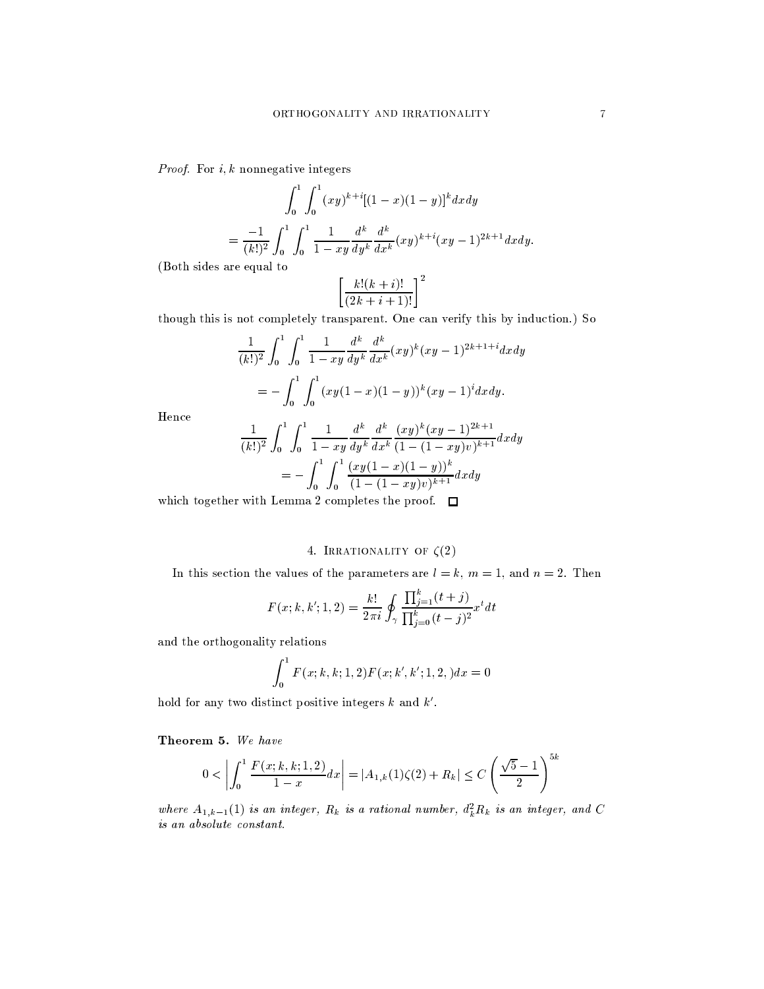*Proof.* For  $i, k$  nonnegative integers

$$
\int_0^1 \int_0^1 (xy)^{k+i} [(1-x)(1-y)]^k dx dy
$$
  
= 
$$
\frac{-1}{(k!)^2} \int_0^1 \int_0^1 \frac{1}{1-xy} \frac{d^k}{dy^k} \frac{d^k}{dx^k} (xy)^{k+i} (xy-1)^{2k+1} dx dy.
$$

(Both sides are equal to

$$
\left[\frac{k!(k+i)!}{(2k+i+1)!}\right]^2
$$

though this is not completely transparent. One can verify this by induction.) So

$$
\frac{1}{(k!)^2} \int_0^1 \int_0^1 \frac{1}{1 - xy} \frac{d^k}{dy^k} \frac{d^k}{dx^k} (xy)^k (xy - 1)^{2k+1+i} dx dy
$$

$$
= - \int_0^1 \int_0^1 (xy(1 - x)(1 - y))^k (xy - 1)^i dx dy.
$$

Hence

$$
\frac{1}{(k!)^2} \int_0^1 \int_0^1 \frac{1}{1 - xy} \frac{d^k}{dy^k} \frac{d^k}{dx^k} \frac{(xy)^k (xy - 1)^{2k+1}}{(1 - (1 - xy)v)^{k+1}} dx dy
$$

$$
= - \int_0^1 \int_0^1 \frac{(xy(1 - x)(1 - y))^k}{(1 - (1 - xy)v)^{k+1}} dx dy
$$

which together with Lemma 2 completes the proof.  $\square$ 

## 4. IRRATIONALITY OF  $\zeta(2)$

In this section the values of the parameters are  $l = k$ ,  $m = 1$ , and  $n = 2$ . Then

$$
F(x; k, k'; 1, 2) = \frac{k!}{2\pi i} \oint_{\gamma} \frac{\prod_{j=1}^{k} (t+j)}{\prod_{j=0}^{k} (t-j)^2} x^t dt
$$

and the orthogonality relations

$$
\int_0^1 F(x;k,k;1,2)F(x;k',k';1,2,)dx=0
$$

hold for any two distinct positive integers  $k$  and  $k'$ .

Theorem 5. We have

$$
0 < \left| \int_0^1 \frac{F(x;k,k;1,2)}{1-x} dx \right| = |A_{1,k}(1)\zeta(2) + R_k| \le C\left(\frac{\sqrt{5}-1}{2}\right)^{5k}
$$

where  $A_{1,k-1}(1)$  is an integer,  $R_k$  is a rational number,  $d_k^2 R_k$  is an integer, and C  $\it{is\ an\ absolute\ constant}.$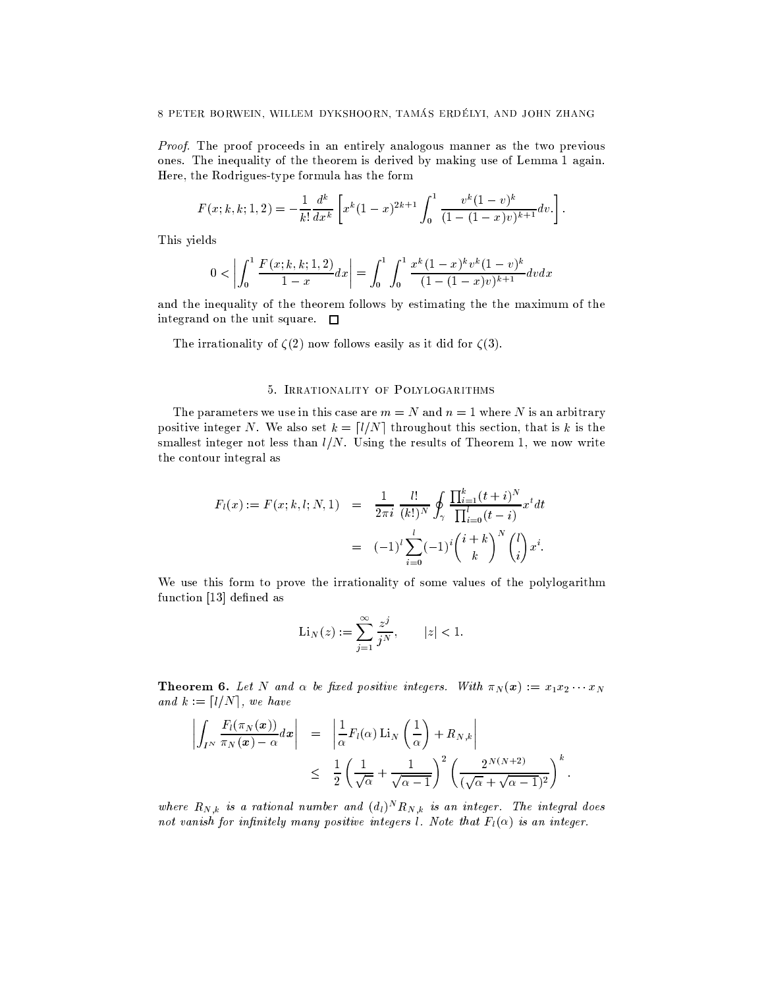*Proof.* The proof proceeds in an entirely analogous manner as the two previous ones. The inequality of the theorem is derived by making use of Lemma 1 again. Here, the Rodrigues-type formula has the form

$$
F(x;k,k;1,2) = -\frac{1}{k!} \frac{d^k}{dx^k} \left[ x^k (1-x)^{2k+1} \int_0^1 \frac{v^k (1-v)^k}{(1-(1-x)v)^{k+1}} dv \right].
$$

This yields

$$
0 < \left| \int_0^1 \frac{F(x;k,k;1,2)}{1-x} dx \right| = \int_0^1 \int_0^1 \frac{x^k (1-x)^k v^k (1-v)^k}{(1-(1-x)v)^{k+1}} dv dx
$$

and the inequality of the theorem follows by estimating the the maximum of the integrand on the unit square.  $\square$ 

The irrationality of  $\zeta(2)$  now follows easily as it did for  $\zeta(3)$ .

### 5. IRRATIONALITY OF POLYLOGARITHMS

The parameters we use in this case are  $m = N$  and  $n = 1$  where N is an arbitrary positive integer N. We also set  $k = \lfloor l/N \rfloor$  throughout this section, that is k is the smallest integer not less than  $l/N$ . Using the results of Theorem 1, we now write the contour integral as

$$
F_l(x) := F(x; k, l; N, 1) = \frac{1}{2\pi i} \frac{l!}{(k!)^N} \oint_{\gamma} \frac{\prod_{i=1}^k (t+i)^N}{\prod_{i=0}^l (t-i)} x^t dt
$$
  

$$
= (-1)^l \sum_{i=0}^l (-1)^i {i+k \choose k}^N {l \choose i} x^i.
$$

We use this form to prove the irrationality of some values of the polylogarithm function [13] defined as

$$
\mathrm{Li}_N(z) := \sum_{j=1}^\infty \frac{z^j}{j^N}, \qquad |z| < 1.
$$

**Theorem 6.** Let N and  $\alpha$  be fixed positive integers. With  $\pi_N(x) := x_1 x_2 \cdots x_N$ and  $k := \lfloor l/N \rfloor$ , we have

$$
\left| \int_{I^N} \frac{F_l(\pi_N(x))}{\pi_N(x) - \alpha} dx \right| = \left| \frac{1}{\alpha} F_l(\alpha) \operatorname{Li}_N\left(\frac{1}{\alpha}\right) + R_{N,k} \right|
$$
  

$$
\leq \frac{1}{2} \left( \frac{1}{\sqrt{\alpha}} + \frac{1}{\sqrt{\alpha - 1}} \right)^2 \left( \frac{2^{N(N+2)}}{(\sqrt{\alpha} + \sqrt{\alpha - 1})^2} \right)^k.
$$

where  $R_{N,k}$  is a rational number and  $(d_l)^N R_{N,k}$  is an integer. The integral does not vanish for infinitely many positive integers *l*. Note that  $F_l(\alpha)$  is an integer.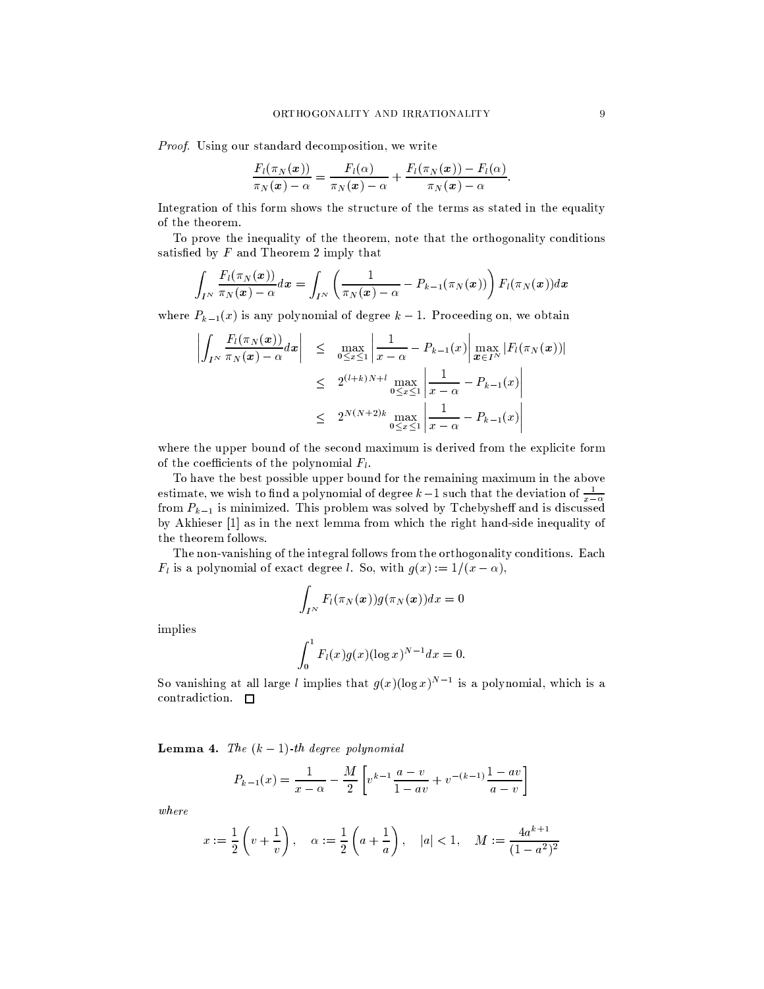Proof. Using our standard decomposition, we write

$$
\frac{F_l(\pi_N(\boldsymbol{x}))}{\pi_N(\boldsymbol{x})-\alpha}=\frac{F_l(\alpha)}{\pi_N(\boldsymbol{x})-\alpha}+\frac{F_l(\pi_N(\boldsymbol{x}))-F_l(\alpha)}{\pi_N(\boldsymbol{x})-\alpha}.
$$

Integration of this form shows the structure of the terms as stated in the equality of the theorem.

To prove the inequality of the theorem, note that the orthogonality conditions satisfied by  $F$  and Theorem 2 imply that

$$
\int_{I^N} \frac{F_l(\pi_N(\boldsymbol{x}))}{\pi_N(\boldsymbol{x}) - \alpha} d\boldsymbol{x} = \int_{I^N} \left( \frac{1}{\pi_N(\boldsymbol{x}) - \alpha} - P_{k-1}(\pi_N(\boldsymbol{x})) \right) F_l(\pi_N(\boldsymbol{x})) d\boldsymbol{x}
$$

where  $P_{k-1}(x)$  is any polynomial of degree  $k-1$ . Proceeding on, we obtain

$$
\left| \int_{I^N} \frac{F_l(\pi_N(\boldsymbol{x}))}{\pi_N(\boldsymbol{x}) - \alpha} d\boldsymbol{x} \right| \leq \max_{0 \leq x \leq 1} \left| \frac{1}{x - \alpha} - P_{k-1}(x) \right| \max_{\boldsymbol{x} \in I^N} |F_l(\pi_N(\boldsymbol{x}))|
$$
  

$$
\leq 2^{(l+k)N+l} \max_{0 \leq x \leq 1} \left| \frac{1}{x - \alpha} - P_{k-1}(x) \right|
$$
  

$$
\leq 2^{N(N+2)k} \max_{0 \leq x \leq 1} \left| \frac{1}{x - \alpha} - P_{k-1}(x) \right|
$$

where the upper bound of the second maximum is derived from the explicite form of the coefficients of the polynomial  $F_l$ .

To have the best possible upper bound for the remaining maximum in the above estimate, we wish to find a polynomial of degree  $k-1$  such that the deviation of  $\frac{1}{x-\alpha}$ from  $P_{k-1}$  is minimized. This problem was solved by Tchebysheff and is discussed by Akhieser [1] as in the next lemma from which the right hand-side inequality of the theorem follows.

The non-vanishing of the integral follows from the orthogonality conditions. Each  $F_l$  is a polynomial of exact degree *l*. So, with  $g(x) := 1/(x - \alpha)$ ,

$$
\int_{I^N} F_l(\pi_N(\boldsymbol{x})) g(\pi_N(\boldsymbol{x})) dx = 0
$$

implies

$$
\int_0^1 F_l(x) g(x) (\log x)^{N-1} dx = 0.
$$

So vanishing at all large l implies that  $g(x)(\log x)^{N-1}$  is a polynomial, which is a contradiction.  $\square$ 

**Lemma 4.** The  $(k-1)$ -th degree polynomial

$$
P_{k-1}(x) = \frac{1}{x - \alpha} - \frac{M}{2} \left[ v^{k-1} \frac{a - v}{1 - av} + v^{-(k-1)} \frac{1 - av}{a - v} \right]
$$

 $where$ 

$$
x := \frac{1}{2} \left( v + \frac{1}{v} \right), \quad \alpha := \frac{1}{2} \left( a + \frac{1}{a} \right), \quad |a| < 1, \quad M := \frac{4a^{k+1}}{(1 - a^2)^2}
$$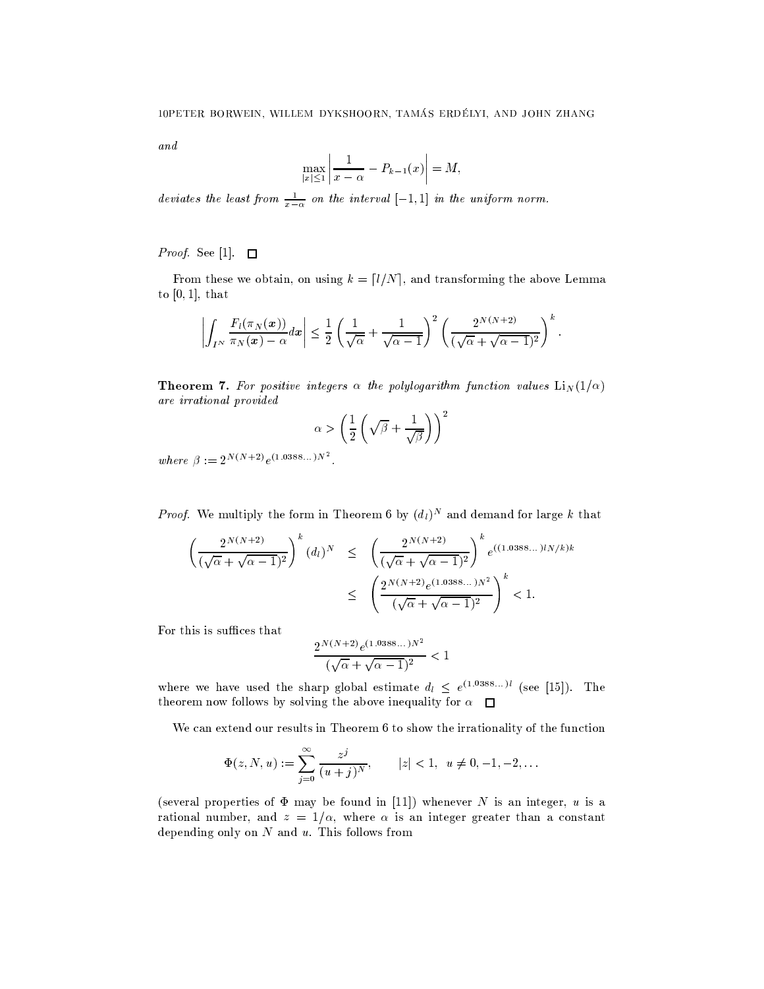and

$$
\max_{|x| \le 1} \left| \frac{1}{x - \alpha} - P_{k-1}(x) \right| = M,
$$

deviates the least from  $\frac{1}{x-\alpha}$  on the interval  $[-1,1]$  in the uniform norm.

*Proof.* See [1].  $\square$ 

From these we obtain, on using  $k = \lfloor l/N \rfloor$ , and transforming the above Lemma to  $[0, 1]$ , that

$$
\left|\int_{I^N} \frac{F_l(\pi_N(x))}{\pi_N(x)-\alpha} dx\right| \leq \frac{1}{2} \left(\frac{1}{\sqrt{\alpha}} + \frac{1}{\sqrt{\alpha-1}}\right)^2 \left(\frac{2^{N(N+2)}}{(\sqrt{\alpha}+\sqrt{\alpha-1})^2}\right)^k.
$$

**Theorem 7.** For positive integers  $\alpha$  the polylogarithm function values  $\text{Li}_N(1/\alpha)$ are irrational provided

$$
\alpha > \left(\frac{1}{2}\left(\sqrt{\beta} + \frac{1}{\sqrt{\beta}}\right)\right)^2
$$

 $\label{eq:where p} where \ \beta := 2^{N(N+2)} e^{(1.0388...)N^2} \, .$ 

*Proof.* We multiply the form in Theorem 6 by  $(d_l)^N$  and demand for large k that

$$
\left(\frac{2^{N(N+2)}}{(\sqrt{\alpha} + \sqrt{\alpha - 1})^2}\right)^k (d_l)^N \le \left(\frac{2^{N(N+2)}}{(\sqrt{\alpha} + \sqrt{\alpha - 1})^2}\right)^k e^{((1.0388...)lN/k)k}
$$
  

$$
\le \left(\frac{2^{N(N+2)}e^{(1.0388...)N^2}}{(\sqrt{\alpha} + \sqrt{\alpha - 1})^2}\right)^k < 1.
$$

For this is suffices that

$$
\frac{2^{N(N+2)}e^{(1.0388\dots)N^2}}{(\sqrt{\alpha} + \sqrt{\alpha - 1})^2} < 1
$$

where we have used the sharp global estimate  $d_l \leq e^{(1.0388...)l}$  (see [15]). The theorem now follows by solving the above inequality for  $\alpha$ 

We can extend our results in Theorem 6 to show the irrationality of the function

$$
\Phi(z, N, u) := \sum_{j=0}^{\infty} \frac{z^j}{(u+j)^N}, \qquad |z| < 1, \ u \neq 0, -1, -2, \dots
$$

(several properties of  $\Phi$  may be found in [11]) whenever N is an integer, u is a rational number, and  $z = 1/\alpha$ , where  $\alpha$  is an integer greater than a constant depending only on  $N$  and  $u$ . This follows from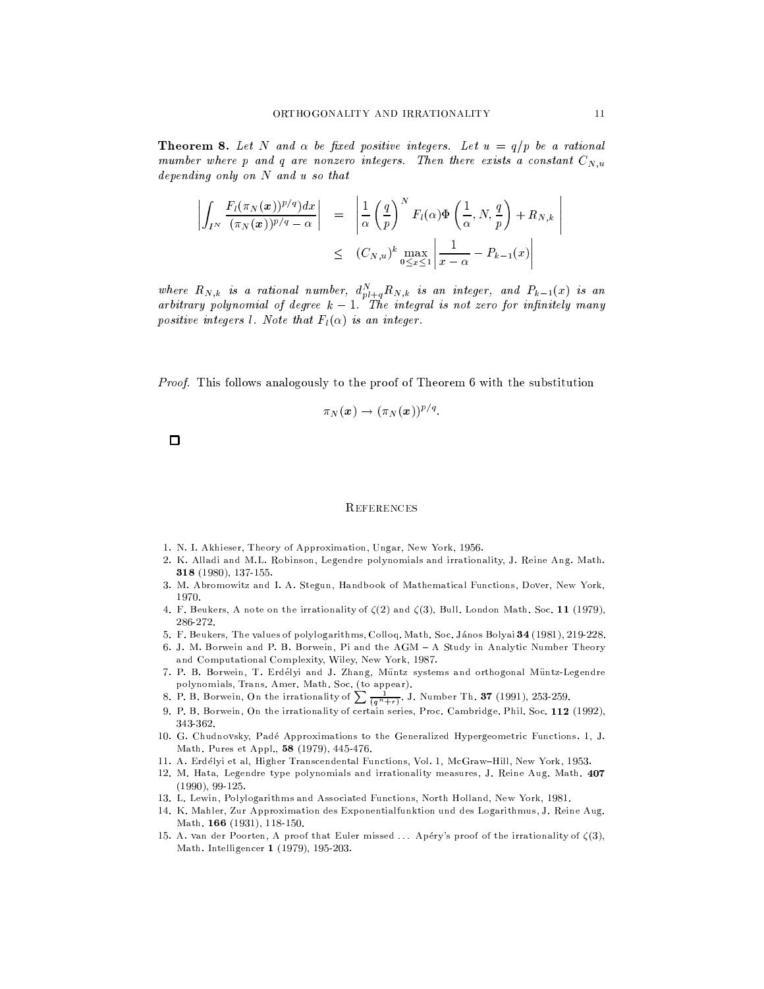**Theorem 8.** Let N and  $\alpha$  be fixed positive integers. Let  $u = q/p$  be a rational mumber where p and q are nonzero integers. Then there exists a constant  $C_{N,u}$ depending only on  $N$  and  $u$  so that

$$
\left| \int_{I^N} \frac{F_l(\pi_N(\boldsymbol{x}))^{p/q} dx}{(\pi_N(\boldsymbol{x}))^{p/q} - \alpha} \right| = \left| \frac{1}{\alpha} \left( \frac{q}{p} \right)^N F_l(\alpha) \Phi \left( \frac{1}{\alpha}, N, \frac{q}{p} \right) + R_{N,k} \right|
$$
  

$$
\leq (C_{N,u})^k \max_{0 \leq x \leq 1} \left| \frac{1}{x - \alpha} - P_{k-1}(x) \right|
$$

where  $R_{N,k}$  is a rational number,  $d_{p l+q}^N R_{N,k}$  is an integer, and  $P_{k-1}(x)$  is an arbitrary polynomial of degree  $k-1$ . The integral is not zero for infinitely many positive integers *l.* Note that  $F_l(\alpha)$  is an integer.

*Proof.* This follows analogously to the proof of Theorem 6 with the substitution

$$
\pi_N(\boldsymbol{x}) \to (\pi_N(\boldsymbol{x}))^{p/q}.
$$

 $\Box$ 

### **REFERENCES**

- 1. N. I. Akhieser, Theory of Approximation, Ungar, New York, 1956.
- 2. K. Alladi and M.L. Robinson, Legendre polynomials and irrationality, J. Reine Ang. Math. 318 (1980), 137-155.
- 3. M. Abromowitz and I. A. Stegun, Handbook of Mathematical Functions, Dover, New York, 1970.
- 4. F. Beukers, A note on the irrationality of  $\zeta(2)$  and  $\zeta(3)$ , Bull. London Math. Soc. 11 (1979), 286-272.
- 5. F. Beukers, The values of polylogarithms, Colloq. Math. Soc. János Bolyai 34 (1981), 219-228.
- 6. J. M. Borwein and P. B. Borwein, Pi and the AGM A Study in Analytic Number Theory and Computational Complexity, Wiley, New York, 1987.
- 7. P. B. Borwein, T. Erdélyi and J. Zhang, Müntz systems and orthogonal Müntz-Legendre polynomials, Trans. Amer. Math. Soc. (to appear).<br>8. P. B. Borwein, On the irrationality of  $\sum_{n=0}^{\infty} \frac{1}{(q^n+r)}$ , J. Number Th. **37** (1991), 253-259.
- 
- 9. P. B. Borwein, On the irrationality of certain series, Proc. Cambridge. Phil. Soc. 112 (1992), 343-362.
- 10. G. Chudnovsky, Padé Approximations to the Generalized Hypergeometric Functions. 1, J. Math. Pures et Appl., 58 (1979), 445-476.
- 11. A. Erdélyi et al, Higher Transcendental Functions, Vol. 1, McGraw-Hill, New York, 1953.
- 12. M. Hata, Legendre type polynomials and irrationality measures, J. Reine Aug. Math. 407  $(1990), 99-125.$
- 13. L. Lewin, Polylogarithms and Associated Functions, North Holland, New York, 1981.
- 14. K. Mahler, Zur Approximation des Exponentialfunktion und des Logarithmus, J. Reine Aug. Math. 166 (1931), 118-150.
- 15. A. van der Poorten, A proof that Euler missed ... Apéry's proof of the irrationality of  $\zeta(3)$ , Math. Intelligencer 1 (1979), 195-203.